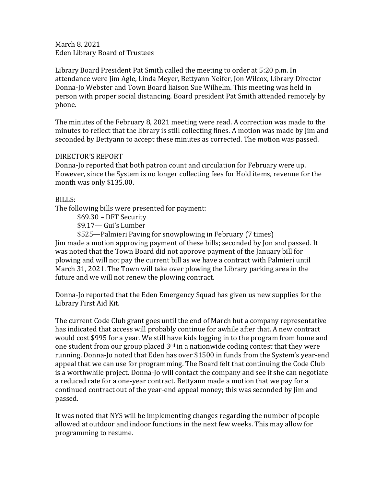March 8, 2021 Eden Library Board of Trustees

Library Board President Pat Smith called the meeting to order at 5:20 p.m. In attendance were Jim Agle, Linda Meyer, Bettyann Neifer, Jon Wilcox, Library Director Donna-Jo Webster and Town Board liaison Sue Wilhelm. This meeting was held in person with proper social distancing. Board president Pat Smith attended remotely by phone.

The minutes of the February 8, 2021 meeting were read. A correction was made to the minutes to reflect that the library is still collecting fines. A motion was made by Jim and seconded by Bettyann to accept these minutes as corrected. The motion was passed.

# DIRECTOR'S REPORT

Donna-Jo reported that both patron count and circulation for February were up. However, since the System is no longer collecting fees for Hold items, revenue for the month was only \$135.00.

# BILLS:

The following bills were presented for payment:

\$69.30 – DFT Security

\$9.17— Gui's Lumber

\$525—Palmieri Paving for snowplowing in February (7 times) Jim made a motion approving payment of these bills; seconded by Jon and passed. It was noted that the Town Board did not approve payment of the January bill for plowing and will not pay the current bill as we have a contract with Palmieri until March 31, 2021. The Town will take over plowing the Library parking area in the future and we will not renew the plowing contract.

Donna-Jo reported that the Eden Emergency Squad has given us new supplies for the Library First Aid Kit.

The current Code Club grant goes until the end of March but a company representative has indicated that access will probably continue for awhile after that. A new contract would cost \$995 for a year. We still have kids logging in to the program from home and one student from our group placed  $3<sup>rd</sup>$  in a nationwide coding contest that they were running. Donna-Jo noted that Eden has over \$1500 in funds from the System's year-end appeal that we can use for programming. The Board felt that continuing the Code Club is a worthwhile project. Donna-Jo will contact the company and see if she can negotiate a reduced rate for a one-year contract. Bettyann made a motion that we pay for a continued contract out of the year-end appeal money; this was seconded by Jim and passed.

It was noted that NYS will be implementing changes regarding the number of people allowed at outdoor and indoor functions in the next few weeks. This may allow for programming to resume.